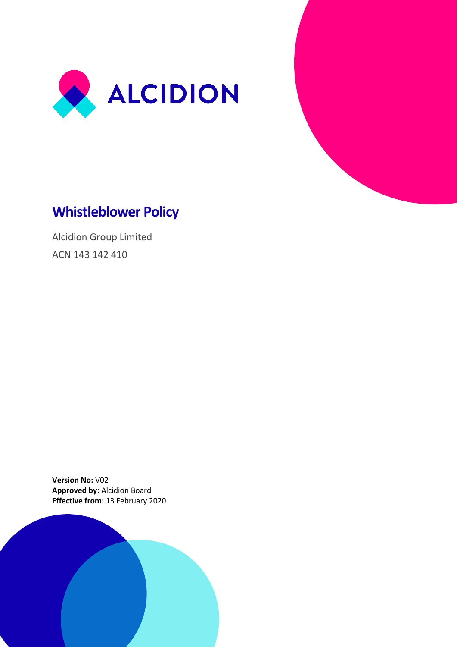



# **Whistleblower Policy**

Alcidion Group Limited ACN 143 142 410

**Version No:** V02 **Approved by:** Alcidion Board **Effective from:** 13 February 2020

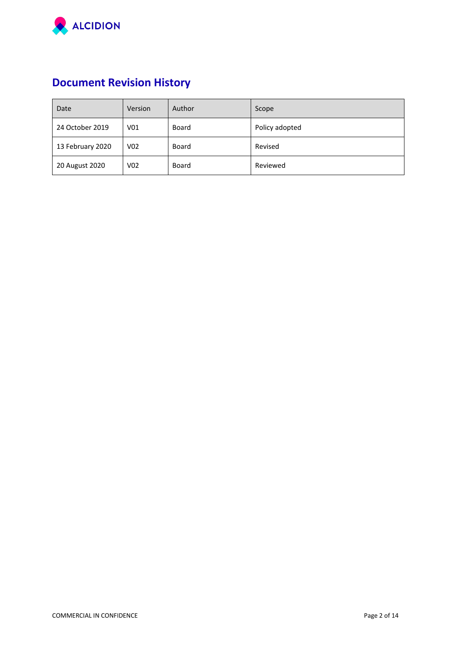

# **Document Revision History**

| Date             | Version         | Author | Scope          |
|------------------|-----------------|--------|----------------|
| 24 October 2019  | V <sub>01</sub> | Board  | Policy adopted |
| 13 February 2020 | V02             | Board  | Revised        |
| 20 August 2020   | V02             | Board  | Reviewed       |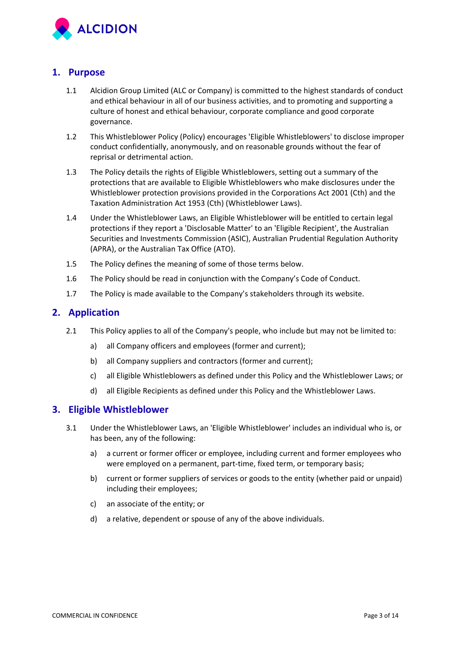

## **1. Purpose**

- 1.1 Alcidion Group Limited (ALC or Company) is committed to the highest standards of conduct and ethical behaviour in all of our business activities, and to promoting and supporting a culture of honest and ethical behaviour, corporate compliance and good corporate governance.
- 1.2 This Whistleblower Policy (Policy) encourages 'Eligible Whistleblowers' to disclose improper conduct confidentially, anonymously, and on reasonable grounds without the fear of reprisal or detrimental action.
- 1.3 The Policy details the rights of Eligible Whistleblowers, setting out a summary of the protections that are available to Eligible Whistleblowers who make disclosures under the Whistleblower protection provisions provided in the Corporations Act 2001 (Cth) and the Taxation Administration Act 1953 (Cth) (Whistleblower Laws).
- 1.4 Under the Whistleblower Laws, an Eligible Whistleblower will be entitled to certain legal protections if they report a 'Disclosable Matter' to an 'Eligible Recipient', the Australian Securities and Investments Commission (ASIC), Australian Prudential Regulation Authority (APRA), or the Australian Tax Office (ATO).
- 1.5 The Policy defines the meaning of some of those terms below.
- 1.6 The Policy should be read in conjunction with the Company's Code of Conduct.
- 1.7 The Policy is made available to the Company's stakeholders through its website.

## **2. Application**

- 2.1 This Policy applies to all of the Company's people, who include but may not be limited to:
	- a) all Company officers and employees (former and current);
	- b) all Company suppliers and contractors (former and current);
	- c) all Eligible Whistleblowers as defined under this Policy and the Whistleblower Laws; or
	- d) all Eligible Recipients as defined under this Policy and the Whistleblower Laws.

## **3. Eligible Whistleblower**

- 3.1 Under the Whistleblower Laws, an 'Eligible Whistleblower' includes an individual who is, or has been, any of the following:
	- a) a current or former officer or employee, including current and former employees who were employed on a permanent, part-time, fixed term, or temporary basis;
	- b) current or former suppliers of services or goods to the entity (whether paid or unpaid) including their employees;
	- c) an associate of the entity; or
	- d) a relative, dependent or spouse of any of the above individuals.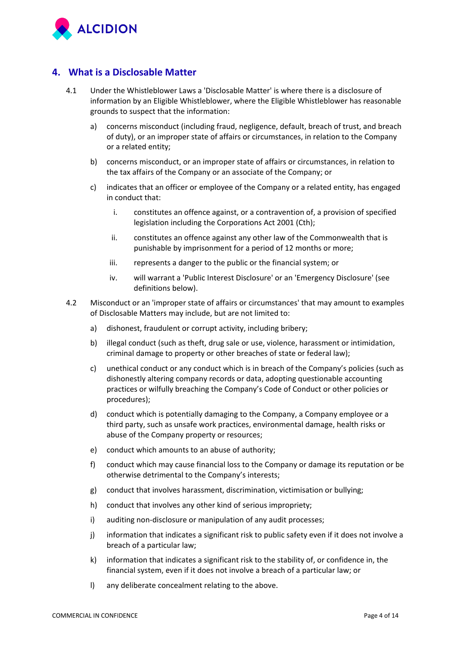

# **4. What is a Disclosable Matter**

- 4.1 Under the Whistleblower Laws a 'Disclosable Matter' is where there is a disclosure of information by an Eligible Whistleblower, where the Eligible Whistleblower has reasonable grounds to suspect that the information:
	- a) concerns misconduct (including fraud, negligence, default, breach of trust, and breach of duty), or an improper state of affairs or circumstances, in relation to the Company or a related entity;
	- b) concerns misconduct, or an improper state of affairs or circumstances, in relation to the tax affairs of the Company or an associate of the Company; or
	- c) indicates that an officer or employee of the Company or a related entity, has engaged in conduct that:
		- i. constitutes an offence against, or a contravention of, a provision of specified legislation including the Corporations Act 2001 (Cth);
		- ii. constitutes an offence against any other law of the Commonwealth that is punishable by imprisonment for a period of 12 months or more;
		- iii. represents a danger to the public or the financial system; or
		- iv. will warrant a 'Public Interest Disclosure' or an 'Emergency Disclosure' (see definitions below).
- 4.2 Misconduct or an 'improper state of affairs or circumstances' that may amount to examples of Disclosable Matters may include, but are not limited to:
	- a) dishonest, fraudulent or corrupt activity, including bribery;
	- b) illegal conduct (such as theft, drug sale or use, violence, harassment or intimidation, criminal damage to property or other breaches of state or federal law);
	- c) unethical conduct or any conduct which is in breach of the Company's policies (such as dishonestly altering company records or data, adopting questionable accounting practices or wilfully breaching the Company's Code of Conduct or other policies or procedures);
	- d) conduct which is potentially damaging to the Company, a Company employee or a third party, such as unsafe work practices, environmental damage, health risks or abuse of the Company property or resources;
	- e) conduct which amounts to an abuse of authority;
	- f) conduct which may cause financial loss to the Company or damage its reputation or be otherwise detrimental to the Company's interests;
	- g) conduct that involves harassment, discrimination, victimisation or bullying;
	- h) conduct that involves any other kind of serious impropriety;
	- i) auditing non-disclosure or manipulation of any audit processes;
	- j) information that indicates a significant risk to public safety even if it does not involve a breach of a particular law;
	- k) information that indicates a significant risk to the stability of, or confidence in, the financial system, even if it does not involve a breach of a particular law; or
	- l) any deliberate concealment relating to the above.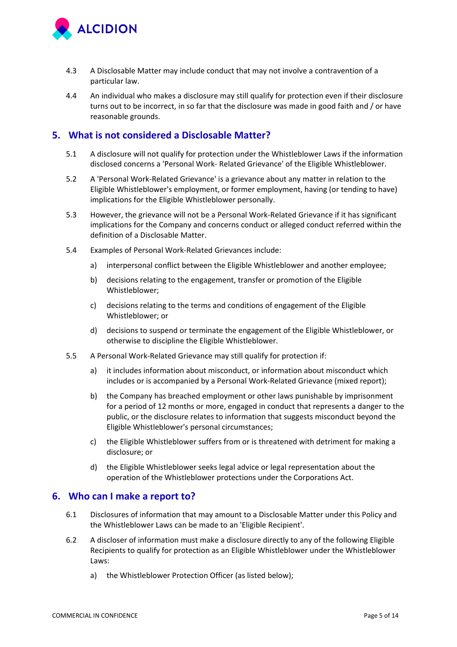

- 4.3 A Disclosable Matter may include conduct that may not involve a contravention of a particular law.
- 4.4 An individual who makes a disclosure may still qualify for protection even if their disclosure turns out to be incorrect, in so far that the disclosure was made in good faith and / or have reasonable grounds.

## **5. What is not considered a Disclosable Matter?**

- 5.1 A disclosure will not qualify for protection under the Whistleblower Laws if the information disclosed concerns a 'Personal Work- Related Grievance' of the Eligible Whistleblower.
- 5.2 A 'Personal Work-Related Grievance' is a grievance about any matter in relation to the Eligible Whistleblower's employment, or former employment, having (or tending to have) implications for the Eligible Whistleblower personally.
- 5.3 However, the grievance will not be a Personal Work-Related Grievance if it has significant implications for the Company and concerns conduct or alleged conduct referred within the definition of a Disclosable Matter.
- 5.4 Examples of Personal Work-Related Grievances include:
	- a) interpersonal conflict between the Eligible Whistleblower and another employee;
	- b) decisions relating to the engagement, transfer or promotion of the Eligible Whistleblower;
	- c) decisions relating to the terms and conditions of engagement of the Eligible Whistleblower; or
	- d) decisions to suspend or terminate the engagement of the Eligible Whistleblower, or otherwise to discipline the Eligible Whistleblower.
- 5.5 A Personal Work-Related Grievance may still qualify for protection if:
	- a) it includes information about misconduct, or information about misconduct which includes or is accompanied by a Personal Work-Related Grievance (mixed report);
	- b) the Company has breached employment or other laws punishable by imprisonment for a period of 12 months or more, engaged in conduct that represents a danger to the public, or the disclosure relates to information that suggests misconduct beyond the Eligible Whistleblower's personal circumstances;
	- c) the Eligible Whistleblower suffers from or is threatened with detriment for making a disclosure; or
	- d) the Eligible Whistleblower seeks legal advice or legal representation about the operation of the Whistleblower protections under the Corporations Act.

## **6. Who can I make a report to?**

- 6.1 Disclosures of information that may amount to a Disclosable Matter under this Policy and the Whistleblower Laws can be made to an 'Eligible Recipient'.
- 6.2 A discloser of information must make a disclosure directly to any of the following Eligible Recipients to qualify for protection as an Eligible Whistleblower under the Whistleblower Laws:
	- a) the Whistleblower Protection Officer (as listed below);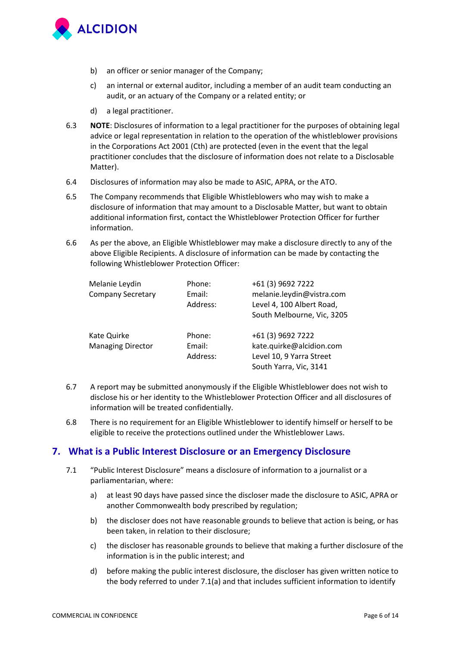

- b) an officer or senior manager of the Company;
- c) an internal or external auditor, including a member of an audit team conducting an audit, or an actuary of the Company or a related entity; or
- d) a legal practitioner.
- 6.3 **NOTE**: Disclosures of information to a legal practitioner for the purposes of obtaining legal advice or legal representation in relation to the operation of the whistleblower provisions in the Corporations Act 2001 (Cth) are protected (even in the event that the legal practitioner concludes that the disclosure of information does not relate to a Disclosable Matter).
- 6.4 Disclosures of information may also be made to ASIC, APRA, or the ATO.
- 6.5 The Company recommends that Eligible Whistleblowers who may wish to make a disclosure of information that may amount to a Disclosable Matter, but want to obtain additional information first, contact the Whistleblower Protection Officer for further information.
- 6.6 As per the above, an Eligible Whistleblower may make a disclosure directly to any of the above Eligible Recipients. A disclosure of information can be made by contacting the following Whistleblower Protection Officer:

| Melanie Leydin<br><b>Company Secretary</b> | Phone:<br>Email:<br>Address: | +61 (3) 9692 7222<br>melanie.leydin@vistra.com<br>Level 4, 100 Albert Road,<br>South Melbourne, Vic, 3205 |
|--------------------------------------------|------------------------------|-----------------------------------------------------------------------------------------------------------|
| Kate Quirke<br><b>Managing Director</b>    | Phone:<br>Email:<br>Address: | +61 (3) 9692 7222<br>kate.quirke@alcidion.com<br>Level 10, 9 Yarra Street<br>South Yarra, Vic, 3141       |

- 6.7 A report may be submitted anonymously if the Eligible Whistleblower does not wish to disclose his or her identity to the Whistleblower Protection Officer and all disclosures of information will be treated confidentially.
- 6.8 There is no requirement for an Eligible Whistleblower to identify himself or herself to be eligible to receive the protections outlined under the Whistleblower Laws.

## **7. What is a Public Interest Disclosure or an Emergency Disclosure**

- 7.1 "Public Interest Disclosure" means a disclosure of information to a journalist or a parliamentarian, where:
	- a) at least 90 days have passed since the discloser made the disclosure to ASIC, APRA or another Commonwealth body prescribed by regulation;
	- b) the discloser does not have reasonable grounds to believe that action is being, or has been taken, in relation to their disclosure;
	- c) the discloser has reasonable grounds to believe that making a further disclosure of the information is in the public interest; and
	- d) before making the public interest disclosure, the discloser has given written notice to the body referred to under 7.1(a) and that includes sufficient information to identify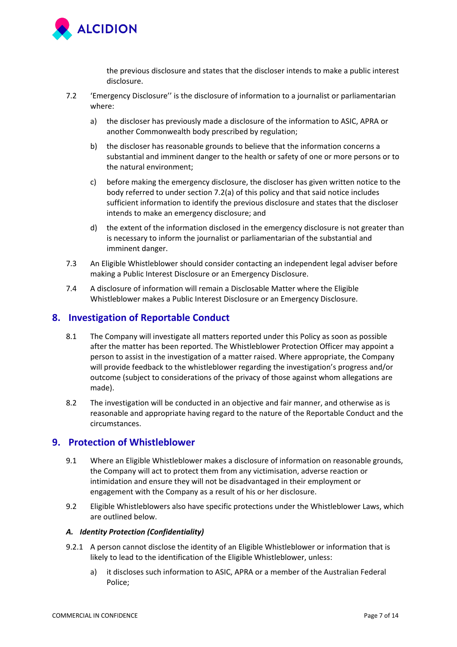

the previous disclosure and states that the discloser intends to make a public interest disclosure.

- 7.2 'Emergency Disclosure'' is the disclosure of information to a journalist or parliamentarian where:
	- a) the discloser has previously made a disclosure of the information to ASIC, APRA or another Commonwealth body prescribed by regulation;
	- b) the discloser has reasonable grounds to believe that the information concerns a substantial and imminent danger to the health or safety of one or more persons or to the natural environment;
	- c) before making the emergency disclosure, the discloser has given written notice to the body referred to under section 7.2(a) of this policy and that said notice includes sufficient information to identify the previous disclosure and states that the discloser intends to make an emergency disclosure; and
	- d) the extent of the information disclosed in the emergency disclosure is not greater than is necessary to inform the journalist or parliamentarian of the substantial and imminent danger.
- 7.3 An Eligible Whistleblower should consider contacting an independent legal adviser before making a Public Interest Disclosure or an Emergency Disclosure.
- 7.4 A disclosure of information will remain a Disclosable Matter where the Eligible Whistleblower makes a Public Interest Disclosure or an Emergency Disclosure.

## **8. Investigation of Reportable Conduct**

- 8.1 The Company will investigate all matters reported under this Policy as soon as possible after the matter has been reported. The Whistleblower Protection Officer may appoint a person to assist in the investigation of a matter raised. Where appropriate, the Company will provide feedback to the whistleblower regarding the investigation's progress and/or outcome (subject to considerations of the privacy of those against whom allegations are made).
- 8.2 The investigation will be conducted in an objective and fair manner, and otherwise as is reasonable and appropriate having regard to the nature of the Reportable Conduct and the circumstances.

## **9. Protection of Whistleblower**

- 9.1 Where an Eligible Whistleblower makes a disclosure of information on reasonable grounds, the Company will act to protect them from any victimisation, adverse reaction or intimidation and ensure they will not be disadvantaged in their employment or engagement with the Company as a result of his or her disclosure.
- 9.2 Eligible Whistleblowers also have specific protections under the Whistleblower Laws, which are outlined below.

#### *A. Identity Protection (Confidentiality)*

- 9.2.1 A person cannot disclose the identity of an Eligible Whistleblower or information that is likely to lead to the identification of the Eligible Whistleblower, unless:
	- a) it discloses such information to ASIC, APRA or a member of the Australian Federal Police;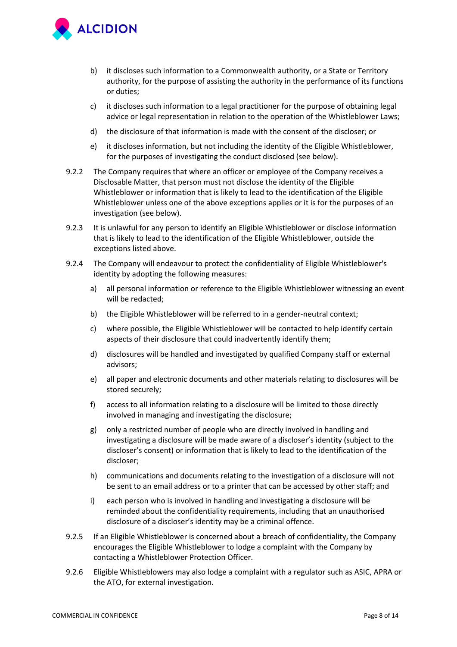

- b) it discloses such information to a Commonwealth authority, or a State or Territory authority, for the purpose of assisting the authority in the performance of its functions or duties;
- c) it discloses such information to a legal practitioner for the purpose of obtaining legal advice or legal representation in relation to the operation of the Whistleblower Laws;
- d) the disclosure of that information is made with the consent of the discloser; or
- e) it discloses information, but not including the identity of the Eligible Whistleblower, for the purposes of investigating the conduct disclosed (see below).
- 9.2.2 The Company requires that where an officer or employee of the Company receives a Disclosable Matter, that person must not disclose the identity of the Eligible Whistleblower or information that is likely to lead to the identification of the Eligible Whistleblower unless one of the above exceptions applies or it is for the purposes of an investigation (see below).
- 9.2.3 It is unlawful for any person to identify an Eligible Whistleblower or disclose information that is likely to lead to the identification of the Eligible Whistleblower, outside the exceptions listed above.
- 9.2.4 The Company will endeavour to protect the confidentiality of Eligible Whistleblower's identity by adopting the following measures:
	- a) all personal information or reference to the Eligible Whistleblower witnessing an event will be redacted;
	- b) the Eligible Whistleblower will be referred to in a gender-neutral context;
	- c) where possible, the Eligible Whistleblower will be contacted to help identify certain aspects of their disclosure that could inadvertently identify them;
	- d) disclosures will be handled and investigated by qualified Company staff or external advisors;
	- e) all paper and electronic documents and other materials relating to disclosures will be stored securely;
	- f) access to all information relating to a disclosure will be limited to those directly involved in managing and investigating the disclosure;
	- g) only a restricted number of people who are directly involved in handling and investigating a disclosure will be made aware of a discloser's identity (subject to the discloser's consent) or information that is likely to lead to the identification of the discloser;
	- h) communications and documents relating to the investigation of a disclosure will not be sent to an email address or to a printer that can be accessed by other staff; and
	- i) each person who is involved in handling and investigating a disclosure will be reminded about the confidentiality requirements, including that an unauthorised disclosure of a discloser's identity may be a criminal offence.
- 9.2.5 If an Eligible Whistleblower is concerned about a breach of confidentiality, the Company encourages the Eligible Whistleblower to lodge a complaint with the Company by contacting a Whistleblower Protection Officer.
- 9.2.6 Eligible Whistleblowers may also lodge a complaint with a regulator such as ASIC, APRA or the ATO, for external investigation.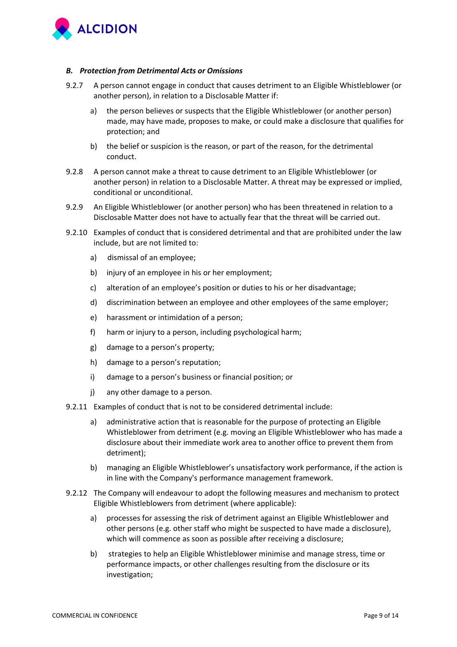

#### *B. Protection from Detrimental Acts or Omissions*

- 9.2.7 A person cannot engage in conduct that causes detriment to an Eligible Whistleblower (or another person), in relation to a Disclosable Matter if:
	- a) the person believes or suspects that the Eligible Whistleblower (or another person) made, may have made, proposes to make, or could make a disclosure that qualifies for protection; and
	- b) the belief or suspicion is the reason, or part of the reason, for the detrimental conduct.
- 9.2.8 A person cannot make a threat to cause detriment to an Eligible Whistleblower (or another person) in relation to a Disclosable Matter. A threat may be expressed or implied, conditional or unconditional.
- 9.2.9 An Eligible Whistleblower (or another person) who has been threatened in relation to a Disclosable Matter does not have to actually fear that the threat will be carried out.
- 9.2.10 Examples of conduct that is considered detrimental and that are prohibited under the law include, but are not limited to:
	- a) dismissal of an employee;
	- b) injury of an employee in his or her employment;
	- c) alteration of an employee's position or duties to his or her disadvantage;
	- d) discrimination between an employee and other employees of the same employer;
	- e) harassment or intimidation of a person;
	- f) harm or injury to a person, including psychological harm;
	- g) damage to a person's property;
	- h) damage to a person's reputation;
	- i) damage to a person's business or financial position; or
	- j) any other damage to a person.
- 9.2.11 Examples of conduct that is not to be considered detrimental include:
	- a) administrative action that is reasonable for the purpose of protecting an Eligible Whistleblower from detriment (e.g. moving an Eligible Whistleblower who has made a disclosure about their immediate work area to another office to prevent them from detriment);
	- b) managing an Eligible Whistleblower's unsatisfactory work performance, if the action is in line with the Company's performance management framework.
- 9.2.12 The Company will endeavour to adopt the following measures and mechanism to protect Eligible Whistleblowers from detriment (where applicable):
	- a) processes for assessing the risk of detriment against an Eligible Whistleblower and other persons (e.g. other staff who might be suspected to have made a disclosure), which will commence as soon as possible after receiving a disclosure;
	- b) strategies to help an Eligible Whistleblower minimise and manage stress, time or performance impacts, or other challenges resulting from the disclosure or its investigation;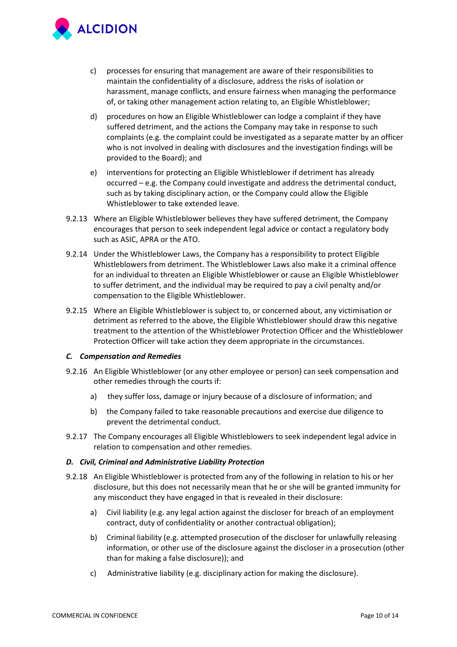

- c) processes for ensuring that management are aware of their responsibilities to maintain the confidentiality of a disclosure, address the risks of isolation or harassment, manage conflicts, and ensure fairness when managing the performance of, or taking other management action relating to, an Eligible Whistleblower;
- d) procedures on how an Eligible Whistleblower can lodge a complaint if they have suffered detriment, and the actions the Company may take in response to such complaints (e.g. the complaint could be investigated as a separate matter by an officer who is not involved in dealing with disclosures and the investigation findings will be provided to the Board); and
- e) interventions for protecting an Eligible Whistleblower if detriment has already occurred – e.g. the Company could investigate and address the detrimental conduct, such as by taking disciplinary action, or the Company could allow the Eligible Whistleblower to take extended leave.
- 9.2.13 Where an Eligible Whistleblower believes they have suffered detriment, the Company encourages that person to seek independent legal advice or contact a regulatory body such as ASIC, APRA or the ATO.
- 9.2.14 Under the Whistleblower Laws, the Company has a responsibility to protect Eligible Whistleblowers from detriment. The Whistleblower Laws also make it a criminal offence for an individual to threaten an Eligible Whistleblower or cause an Eligible Whistleblower to suffer detriment, and the individual may be required to pay a civil penalty and/or compensation to the Eligible Whistleblower.
- 9.2.15 Where an Eligible Whistleblower is subject to, or concerned about, any victimisation or detriment as referred to the above, the Eligible Whistleblower should draw this negative treatment to the attention of the Whistleblower Protection Officer and the Whistleblower Protection Officer will take action they deem appropriate in the circumstances.

#### *C. Compensation and Remedies*

- 9.2.16 An Eligible Whistleblower (or any other employee or person) can seek compensation and other remedies through the courts if:
	- a) they suffer loss, damage or injury because of a disclosure of information; and
	- b) the Company failed to take reasonable precautions and exercise due diligence to prevent the detrimental conduct.
- 9.2.17 The Company encourages all Eligible Whistleblowers to seek independent legal advice in relation to compensation and other remedies.

#### *D. Civil, Criminal and Administrative Liability Protection*

- 9.2.18 An Eligible Whistleblower is protected from any of the following in relation to his or her disclosure, but this does not necessarily mean that he or she will be granted immunity for any misconduct they have engaged in that is revealed in their disclosure:
	- a) Civil liability (e.g. any legal action against the discloser for breach of an employment contract, duty of confidentiality or another contractual obligation);
	- b) Criminal liability (e.g. attempted prosecution of the discloser for unlawfully releasing information, or other use of the disclosure against the discloser in a prosecution (other than for making a false disclosure)); and
	- c) Administrative liability (e.g. disciplinary action for making the disclosure).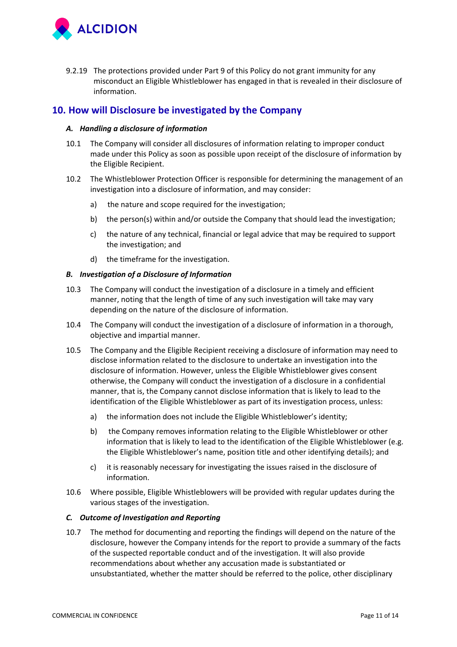

9.2.19 The protections provided under Part 9 of this Policy do not grant immunity for any misconduct an Eligible Whistleblower has engaged in that is revealed in their disclosure of information.

## **10. How will Disclosure be investigated by the Company**

### *A. Handling a disclosure of information*

- 10.1 The Company will consider all disclosures of information relating to improper conduct made under this Policy as soon as possible upon receipt of the disclosure of information by the Eligible Recipient.
- 10.2 The Whistleblower Protection Officer is responsible for determining the management of an investigation into a disclosure of information, and may consider:
	- a) the nature and scope required for the investigation;
	- b) the person(s) within and/or outside the Company that should lead the investigation;
	- c) the nature of any technical, financial or legal advice that may be required to support the investigation; and
	- d) the timeframe for the investigation.

#### *B. Investigation of a Disclosure of Information*

- 10.3 The Company will conduct the investigation of a disclosure in a timely and efficient manner, noting that the length of time of any such investigation will take may vary depending on the nature of the disclosure of information.
- 10.4 The Company will conduct the investigation of a disclosure of information in a thorough, objective and impartial manner.
- 10.5 The Company and the Eligible Recipient receiving a disclosure of information may need to disclose information related to the disclosure to undertake an investigation into the disclosure of information. However, unless the Eligible Whistleblower gives consent otherwise, the Company will conduct the investigation of a disclosure in a confidential manner, that is, the Company cannot disclose information that is likely to lead to the identification of the Eligible Whistleblower as part of its investigation process, unless:
	- a) the information does not include the Eligible Whistleblower's identity;
	- b) the Company removes information relating to the Eligible Whistleblower or other information that is likely to lead to the identification of the Eligible Whistleblower (e.g. the Eligible Whistleblower's name, position title and other identifying details); and
	- c) it is reasonably necessary for investigating the issues raised in the disclosure of information.
- 10.6 Where possible, Eligible Whistleblowers will be provided with regular updates during the various stages of the investigation.

#### *C. Outcome of Investigation and Reporting*

10.7 The method for documenting and reporting the findings will depend on the nature of the disclosure, however the Company intends for the report to provide a summary of the facts of the suspected reportable conduct and of the investigation. It will also provide recommendations about whether any accusation made is substantiated or unsubstantiated, whether the matter should be referred to the police, other disciplinary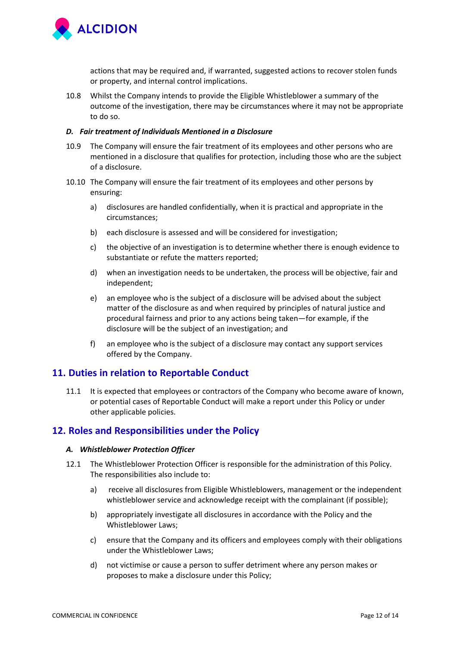

actions that may be required and, if warranted, suggested actions to recover stolen funds or property, and internal control implications.

10.8 Whilst the Company intends to provide the Eligible Whistleblower a summary of the outcome of the investigation, there may be circumstances where it may not be appropriate to do so.

#### *D. Fair treatment of Individuals Mentioned in a Disclosure*

- 10.9 The Company will ensure the fair treatment of its employees and other persons who are mentioned in a disclosure that qualifies for protection, including those who are the subject of a disclosure.
- 10.10 The Company will ensure the fair treatment of its employees and other persons by ensuring:
	- a) disclosures are handled confidentially, when it is practical and appropriate in the circumstances;
	- b) each disclosure is assessed and will be considered for investigation;
	- c) the objective of an investigation is to determine whether there is enough evidence to substantiate or refute the matters reported;
	- d) when an investigation needs to be undertaken, the process will be objective, fair and independent;
	- e) an employee who is the subject of a disclosure will be advised about the subject matter of the disclosure as and when required by principles of natural justice and procedural fairness and prior to any actions being taken—for example, if the disclosure will be the subject of an investigation; and
	- f) an employee who is the subject of a disclosure may contact any support services offered by the Company.

## **11. Duties in relation to Reportable Conduct**

11.1 It is expected that employees or contractors of the Company who become aware of known, or potential cases of Reportable Conduct will make a report under this Policy or under other applicable policies.

## **12. Roles and Responsibilities under the Policy**

#### *A. Whistleblower Protection Officer*

- 12.1 The Whistleblower Protection Officer is responsible for the administration of this Policy. The responsibilities also include to:
	- a) receive all disclosures from Eligible Whistleblowers, management or the independent whistleblower service and acknowledge receipt with the complainant (if possible);
	- b) appropriately investigate all disclosures in accordance with the Policy and the Whistleblower Laws;
	- c) ensure that the Company and its officers and employees comply with their obligations under the Whistleblower Laws;
	- d) not victimise or cause a person to suffer detriment where any person makes or proposes to make a disclosure under this Policy;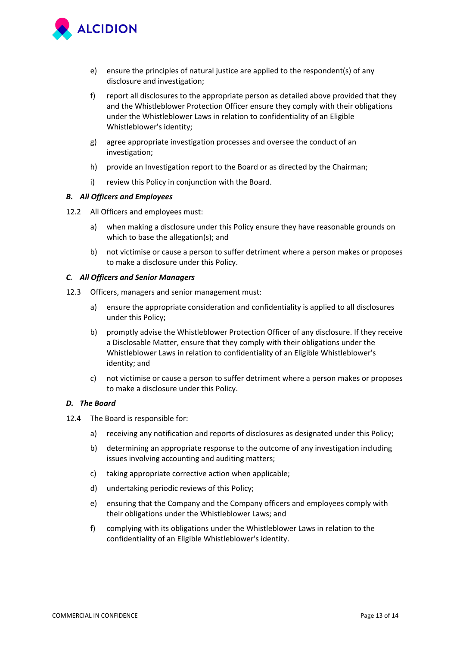

- e) ensure the principles of natural justice are applied to the respondent(s) of any disclosure and investigation;
- f) report all disclosures to the appropriate person as detailed above provided that they and the Whistleblower Protection Officer ensure they comply with their obligations under the Whistleblower Laws in relation to confidentiality of an Eligible Whistleblower's identity;
- g) agree appropriate investigation processes and oversee the conduct of an investigation;
- h) provide an Investigation report to the Board or as directed by the Chairman;
- i) review this Policy in conjunction with the Board.

#### *B. All Officers and Employees*

- 12.2 All Officers and employees must:
	- a) when making a disclosure under this Policy ensure they have reasonable grounds on which to base the allegation(s); and
	- b) not victimise or cause a person to suffer detriment where a person makes or proposes to make a disclosure under this Policy.

#### *C. All Officers and Senior Managers*

- 12.3 Officers, managers and senior management must:
	- a) ensure the appropriate consideration and confidentiality is applied to all disclosures under this Policy;
	- b) promptly advise the Whistleblower Protection Officer of any disclosure. If they receive a Disclosable Matter, ensure that they comply with their obligations under the Whistleblower Laws in relation to confidentiality of an Eligible Whistleblower's identity; and
	- c) not victimise or cause a person to suffer detriment where a person makes or proposes to make a disclosure under this Policy.

#### *D. The Board*

- 12.4 The Board is responsible for:
	- a) receiving any notification and reports of disclosures as designated under this Policy;
	- b) determining an appropriate response to the outcome of any investigation including issues involving accounting and auditing matters;
	- c) taking appropriate corrective action when applicable;
	- d) undertaking periodic reviews of this Policy;
	- e) ensuring that the Company and the Company officers and employees comply with their obligations under the Whistleblower Laws; and
	- f) complying with its obligations under the Whistleblower Laws in relation to the confidentiality of an Eligible Whistleblower's identity.